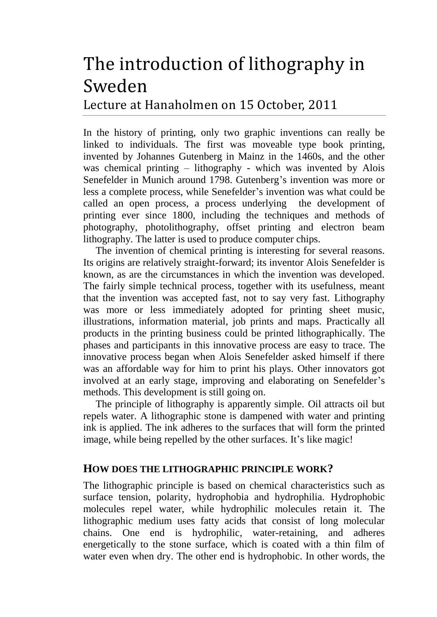# The introduction of lithography in Sweden

Lecture at Hanaholmen on 15 October, 2011

In the history of printing, only two graphic inventions can really be linked to individuals. The first was moveable type book printing, invented by Johannes Gutenberg in Mainz in the 1460s, and the other was chemical printing – lithography - which was invented by Alois Senefelder in Munich around 1798. Gutenberg's invention was more or less a complete process, while Senefelder's invention was what could be called an open process, a process underlying the development of printing ever since 1800, including the techniques and methods of photography, photolithography, offset printing and electron beam lithography. The latter is used to produce computer chips.

The invention of chemical printing is interesting for several reasons. Its origins are relatively straight-forward; its inventor Alois Senefelder is known, as are the circumstances in which the invention was developed. The fairly simple technical process, together with its usefulness, meant that the invention was accepted fast, not to say very fast. Lithography was more or less immediately adopted for printing sheet music, illustrations, information material, job prints and maps. Practically all products in the printing business could be printed lithographically. The phases and participants in this innovative process are easy to trace. The innovative process began when Alois Senefelder asked himself if there was an affordable way for him to print his plays. Other innovators got involved at an early stage, improving and elaborating on Senefelder's methods. This development is still going on.

The principle of lithography is apparently simple. Oil attracts oil but repels water. A lithographic stone is dampened with water and printing ink is applied. The ink adheres to the surfaces that will form the printed image, while being repelled by the other surfaces. It's like magic!

## **HOW DOES THE LITHOGRAPHIC PRINCIPLE WORK?**

The lithographic principle is based on chemical characteristics such as surface tension, polarity, hydrophobia and hydrophilia. Hydrophobic molecules repel water, while hydrophilic molecules retain it. The lithographic medium uses fatty acids that consist of long molecular chains. One end is hydrophilic, water-retaining, and adheres energetically to the stone surface, which is coated with a thin film of water even when dry. The other end is hydrophobic. In other words, the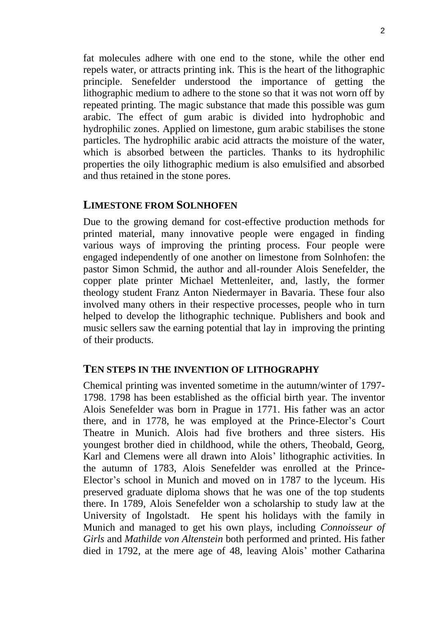fat molecules adhere with one end to the stone, while the other end repels water, or attracts printing ink. This is the heart of the lithographic principle. Senefelder understood the importance of getting the lithographic medium to adhere to the stone so that it was not worn off by repeated printing. The magic substance that made this possible was gum arabic. The effect of gum arabic is divided into hydrophobic and hydrophilic zones. Applied on limestone, gum arabic stabilises the stone particles. The hydrophilic arabic acid attracts the moisture of the water, which is absorbed between the particles. Thanks to its hydrophilic properties the oily lithographic medium is also emulsified and absorbed and thus retained in the stone pores.

### **LIMESTONE FROM SOLNHOFEN**

Due to the growing demand for cost-effective production methods for printed material, many innovative people were engaged in finding various ways of improving the printing process. Four people were engaged independently of one another on limestone from Solnhofen: the pastor Simon Schmid, the author and all-rounder Alois Senefelder, the copper plate printer Michael Mettenleiter, and, lastly, the former theology student Franz Anton Niedermayer in Bavaria. These four also involved many others in their respective processes, people who in turn helped to develop the lithographic technique. Publishers and book and music sellers saw the earning potential that lay in improving the printing of their products.

### **TEN STEPS IN THE INVENTION OF LITHOGRAPHY**

Chemical printing was invented sometime in the autumn/winter of 1797- 1798. 1798 has been established as the official birth year. The inventor Alois Senefelder was born in Prague in 1771. His father was an actor there, and in 1778, he was employed at the Prince-Elector's Court Theatre in Munich. Alois had five brothers and three sisters. His youngest brother died in childhood, while the others, Theobald, Georg, Karl and Clemens were all drawn into Alois' lithographic activities. In the autumn of 1783, Alois Senefelder was enrolled at the Prince-Elector's school in Munich and moved on in 1787 to the lyceum. His preserved graduate diploma shows that he was one of the top students there. In 1789, Alois Senefelder won a scholarship to study law at the University of Ingolstadt. He spent his holidays with the family in Munich and managed to get his own plays, including *Connoisseur of Girls* and *Mathilde von Altenstein* both performed and printed. His father died in 1792, at the mere age of 48, leaving Alois' mother Catharina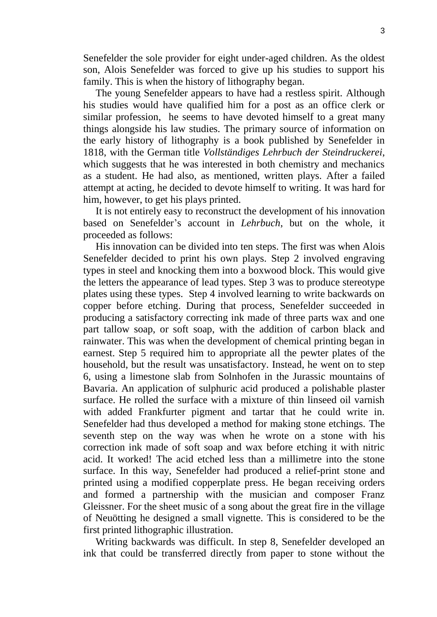Senefelder the sole provider for eight under-aged children. As the oldest son, Alois Senefelder was forced to give up his studies to support his family. This is when the history of lithography began.

The young Senefelder appears to have had a restless spirit. Although his studies would have qualified him for a post as an office clerk or similar profession, he seems to have devoted himself to a great many things alongside his law studies. The primary source of information on the early history of lithography is a book published by Senefelder in 1818, with the German title *Vollständiges Lehrbuch der Steindruckerei*, which suggests that he was interested in both chemistry and mechanics as a student. He had also, as mentioned, written plays. After a failed attempt at acting, he decided to devote himself to writing. It was hard for him, however, to get his plays printed.

It is not entirely easy to reconstruct the development of his innovation based on Senefelder's account in *Lehrbuch*, but on the whole, it proceeded as follows:

His innovation can be divided into ten steps. The first was when Alois Senefelder decided to print his own plays. Step 2 involved engraving types in steel and knocking them into a boxwood block. This would give the letters the appearance of lead types. Step 3 was to produce stereotype plates using these types. Step 4 involved learning to write backwards on copper before etching. During that process, Senefelder succeeded in producing a satisfactory correcting ink made of three parts wax and one part tallow soap, or soft soap, with the addition of carbon black and rainwater. This was when the development of chemical printing began in earnest. Step 5 required him to appropriate all the pewter plates of the household, but the result was unsatisfactory. Instead, he went on to step 6, using a limestone slab from Solnhofen in the Jurassic mountains of Bavaria. An application of sulphuric acid produced a polishable plaster surface. He rolled the surface with a mixture of thin linseed oil varnish with added Frankfurter pigment and tartar that he could write in. Senefelder had thus developed a method for making stone etchings. The seventh step on the way was when he wrote on a stone with his correction ink made of soft soap and wax before etching it with nitric acid. It worked! The acid etched less than a millimetre into the stone surface. In this way, Senefelder had produced a relief-print stone and printed using a modified copperplate press. He began receiving orders and formed a partnership with the musician and composer Franz Gleissner. For the sheet music of a song about the great fire in the village of Neuötting he designed a small vignette. This is considered to be the first printed lithographic illustration.

Writing backwards was difficult. In step 8, Senefelder developed an ink that could be transferred directly from paper to stone without the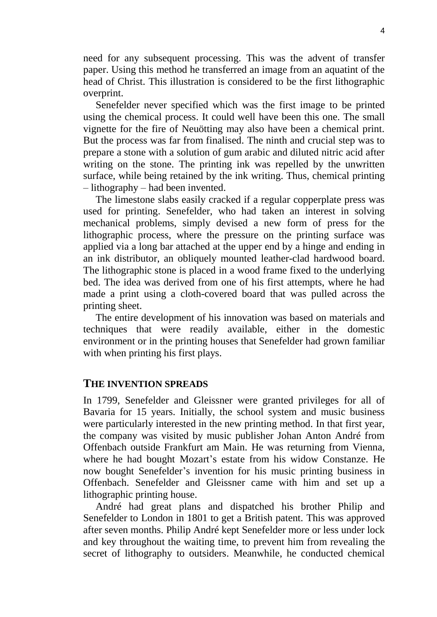need for any subsequent processing. This was the advent of transfer paper. Using this method he transferred an image from an aquatint of the head of Christ. This illustration is considered to be the first lithographic overprint.

Senefelder never specified which was the first image to be printed using the chemical process. It could well have been this one. The small vignette for the fire of Neuötting may also have been a chemical print. But the process was far from finalised. The ninth and crucial step was to prepare a stone with a solution of gum arabic and diluted nitric acid after writing on the stone. The printing ink was repelled by the unwritten surface, while being retained by the ink writing. Thus, chemical printing – lithography – had been invented.

The limestone slabs easily cracked if a regular copperplate press was used for printing. Senefelder, who had taken an interest in solving mechanical problems, simply devised a new form of press for the lithographic process, where the pressure on the printing surface was applied via a long bar attached at the upper end by a hinge and ending in an ink distributor, an obliquely mounted leather-clad hardwood board. The lithographic stone is placed in a wood frame fixed to the underlying bed. The idea was derived from one of his first attempts, where he had made a print using a cloth-covered board that was pulled across the printing sheet.

The entire development of his innovation was based on materials and techniques that were readily available, either in the domestic environment or in the printing houses that Senefelder had grown familiar with when printing his first plays.

#### **THE INVENTION SPREADS**

In 1799, Senefelder and Gleissner were granted privileges for all of Bavaria for 15 years. Initially, the school system and music business were particularly interested in the new printing method. In that first year, the company was visited by music publisher Johan Anton André from Offenbach outside Frankfurt am Main. He was returning from Vienna, where he had bought Mozart's estate from his widow Constanze. He now bought Senefelder's invention for his music printing business in Offenbach. Senefelder and Gleissner came with him and set up a lithographic printing house.

André had great plans and dispatched his brother Philip and Senefelder to London in 1801 to get a British patent. This was approved after seven months. Philip André kept Senefelder more or less under lock and key throughout the waiting time, to prevent him from revealing the secret of lithography to outsiders. Meanwhile, he conducted chemical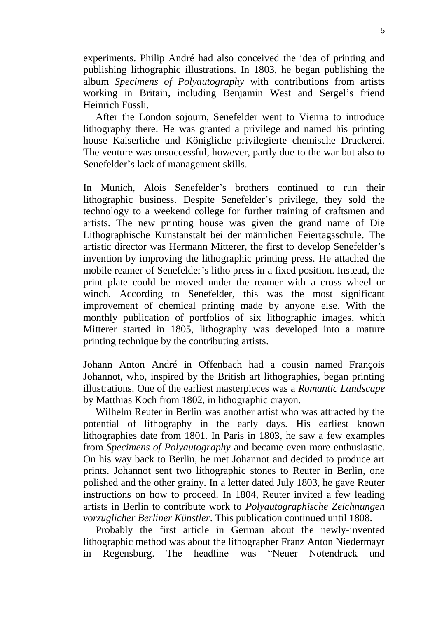experiments. Philip André had also conceived the idea of printing and publishing lithographic illustrations. In 1803, he began publishing the album *Specimens of Polyautography* with contributions from artists working in Britain, including Benjamin West and Sergel's friend Heinrich Füssli.

After the London sojourn, Senefelder went to Vienna to introduce lithography there. He was granted a privilege and named his printing house Kaiserliche und Königliche privilegierte chemische Druckerei. The venture was unsuccessful, however, partly due to the war but also to Senefelder's lack of management skills.

In Munich, Alois Senefelder's brothers continued to run their lithographic business. Despite Senefelder's privilege, they sold the technology to a weekend college for further training of craftsmen and artists. The new printing house was given the grand name of Die Lithographische Kunstanstalt bei der männlichen Feiertagsschule. The artistic director was Hermann Mitterer, the first to develop Senefelder's invention by improving the lithographic printing press. He attached the mobile reamer of Senefelder's litho press in a fixed position. Instead, the print plate could be moved under the reamer with a cross wheel or winch. According to Senefelder, this was the most significant improvement of chemical printing made by anyone else. With the monthly publication of portfolios of six lithographic images, which Mitterer started in 1805, lithography was developed into a mature printing technique by the contributing artists.

Johann Anton André in Offenbach had a cousin named François Johannot, who, inspired by the British art lithographies, began printing illustrations. One of the earliest masterpieces was a *Romantic Landscape* by Matthias Koch from 1802, in lithographic crayon.

Wilhelm Reuter in Berlin was another artist who was attracted by the potential of lithography in the early days. His earliest known lithographies date from 1801. In Paris in 1803, he saw a few examples from *Specimens of Polyautography* and became even more enthusiastic. On his way back to Berlin, he met Johannot and decided to produce art prints. Johannot sent two lithographic stones to Reuter in Berlin, one polished and the other grainy. In a letter dated July 1803, he gave Reuter instructions on how to proceed. In 1804, Reuter invited a few leading artists in Berlin to contribute work to *Polyautographische Zeichnungen vorzüglicher Berliner Künstler*. This publication continued until 1808.

Probably the first article in German about the newly-invented lithographic method was about the lithographer Franz Anton Niedermayr in Regensburg. The headline was "Neuer Notendruck und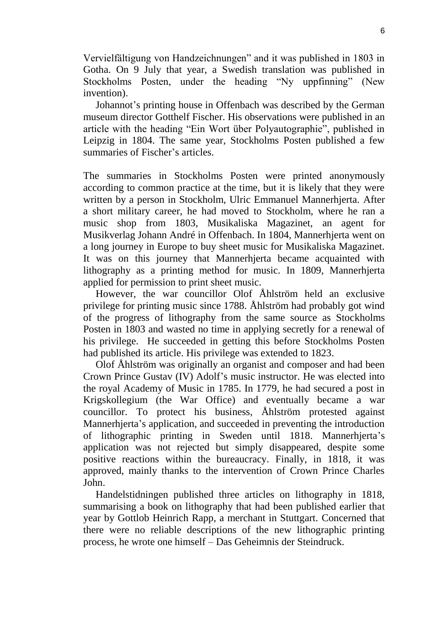Vervielfältigung von Handzeichnungen" and it was published in 1803 in Gotha. On 9 July that year, a Swedish translation was published in Stockholms Posten, under the heading "Ny uppfinning" (New invention).

Johannot's printing house in Offenbach was described by the German museum director Gotthelf Fischer. His observations were published in an article with the heading "Ein Wort über Polyautographie", published in Leipzig in 1804. The same year, Stockholms Posten published a few summaries of Fischer's articles.

The summaries in Stockholms Posten were printed anonymously according to common practice at the time, but it is likely that they were written by a person in Stockholm, Ulric Emmanuel Mannerhjerta. After a short military career, he had moved to Stockholm, where he ran a music shop from 1803, Musikaliska Magazinet, an agent for Musikverlag Johann André in Offenbach. In 1804, Mannerhjerta went on a long journey in Europe to buy sheet music for Musikaliska Magazinet. It was on this journey that Mannerhjerta became acquainted with lithography as a printing method for music. In 1809, Mannerhjerta applied for permission to print sheet music.

However, the war councillor Olof Åhlström held an exclusive privilege for printing music since 1788. Åhlström had probably got wind of the progress of lithography from the same source as Stockholms Posten in 1803 and wasted no time in applying secretly for a renewal of his privilege. He succeeded in getting this before Stockholms Posten had published its article. His privilege was extended to 1823.

Olof Åhlström was originally an organist and composer and had been Crown Prince Gustav (IV) Adolf's music instructor. He was elected into the royal Academy of Music in 1785. In 1779, he had secured a post in Krigskollegium (the War Office) and eventually became a war councillor. To protect his business, Åhlström protested against Mannerhjerta's application, and succeeded in preventing the introduction of lithographic printing in Sweden until 1818. Mannerhjerta's application was not rejected but simply disappeared, despite some positive reactions within the bureaucracy. Finally, in 1818, it was approved, mainly thanks to the intervention of Crown Prince Charles John.

Handelstidningen published three articles on lithography in 1818, summarising a book on lithography that had been published earlier that year by Gottlob Heinrich Rapp, a merchant in Stuttgart. Concerned that there were no reliable descriptions of the new lithographic printing process, he wrote one himself – Das Geheimnis der Steindruck.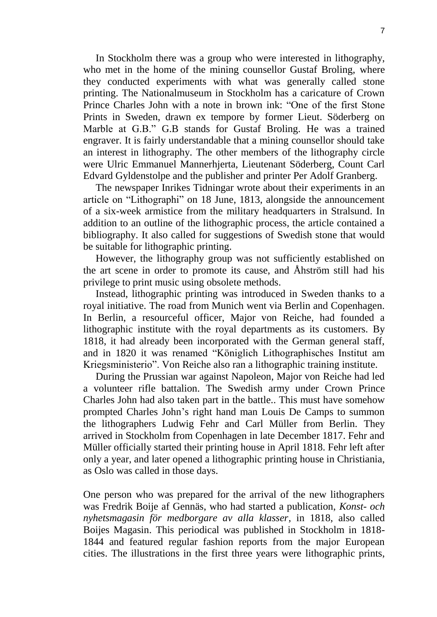In Stockholm there was a group who were interested in lithography, who met in the home of the mining counsellor Gustaf Broling, where they conducted experiments with what was generally called stone printing. The Nationalmuseum in Stockholm has a caricature of Crown Prince Charles John with a note in brown ink: "One of the first Stone Prints in Sweden, drawn ex tempore by former Lieut. Söderberg on Marble at G.B." G.B stands for Gustaf Broling. He was a trained engraver. It is fairly understandable that a mining counsellor should take an interest in lithography. The other members of the lithography circle were Ulric Emmanuel Mannerhjerta, Lieutenant Söderberg, Count Carl Edvard Gyldenstolpe and the publisher and printer Per Adolf Granberg.

The newspaper Inrikes Tidningar wrote about their experiments in an article on "Lithographi" on 18 June, 1813, alongside the announcement of a six-week armistice from the military headquarters in Stralsund. In addition to an outline of the lithographic process, the article contained a bibliography. It also called for suggestions of Swedish stone that would be suitable for lithographic printing.

However, the lithography group was not sufficiently established on the art scene in order to promote its cause, and Åhström still had his privilege to print music using obsolete methods.

Instead, lithographic printing was introduced in Sweden thanks to a royal initiative. The road from Munich went via Berlin and Copenhagen. In Berlin, a resourceful officer, Major von Reiche, had founded a lithographic institute with the royal departments as its customers. By 1818, it had already been incorporated with the German general staff, and in 1820 it was renamed "Königlich Lithographisches Institut am Kriegsministerio". Von Reiche also ran a lithographic training institute.

During the Prussian war against Napoleon, Major von Reiche had led a volunteer rifle battalion. The Swedish army under Crown Prince Charles John had also taken part in the battle.. This must have somehow prompted Charles John's right hand man Louis De Camps to summon the lithographers Ludwig Fehr and Carl Müller from Berlin. They arrived in Stockholm from Copenhagen in late December 1817. Fehr and Müller officially started their printing house in April 1818. Fehr left after only a year, and later opened a lithographic printing house in Christiania, as Oslo was called in those days.

One person who was prepared for the arrival of the new lithographers was Fredrik Boije af Gennäs, who had started a publication, *Konst- och nyhetsmagasin för medborgare av alla klasser*, in 1818, also called Boijes Magasin. This periodical was published in Stockholm in 1818- 1844 and featured regular fashion reports from the major European cities. The illustrations in the first three years were lithographic prints,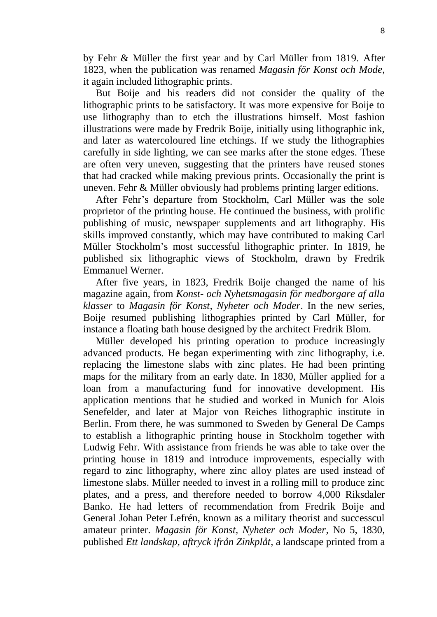by Fehr & Müller the first year and by Carl Müller from 1819. After 1823, when the publication was renamed *Magasin för Konst och Mode*, it again included lithographic prints.

But Boije and his readers did not consider the quality of the lithographic prints to be satisfactory. It was more expensive for Boije to use lithography than to etch the illustrations himself. Most fashion illustrations were made by Fredrik Boije, initially using lithographic ink, and later as watercoloured line etchings. If we study the lithographies carefully in side lighting, we can see marks after the stone edges. These are often very uneven, suggesting that the printers have reused stones that had cracked while making previous prints. Occasionally the print is uneven. Fehr & Müller obviously had problems printing larger editions.

After Fehr's departure from Stockholm, Carl Müller was the sole proprietor of the printing house. He continued the business, with prolific publishing of music, newspaper supplements and art lithography. His skills improved constantly, which may have contributed to making Carl Müller Stockholm's most successful lithographic printer. In 1819, he published six lithographic views of Stockholm, drawn by Fredrik Emmanuel Werner.

After five years, in 1823, Fredrik Boije changed the name of his magazine again, from *Konst- och Nyhetsmagasin för medborgare af alla klasser* to *Magasin för Konst, Nyheter och Moder*. In the new series, Boije resumed publishing lithographies printed by Carl Müller, for instance a floating bath house designed by the architect Fredrik Blom.

Müller developed his printing operation to produce increasingly advanced products. He began experimenting with zinc lithography, i.e. replacing the limestone slabs with zinc plates. He had been printing maps for the military from an early date. In 1830, Müller applied for a loan from a manufacturing fund for innovative development. His application mentions that he studied and worked in Munich for Alois Senefelder, and later at Major von Reiches lithographic institute in Berlin. From there, he was summoned to Sweden by General De Camps to establish a lithographic printing house in Stockholm together with Ludwig Fehr. With assistance from friends he was able to take over the printing house in 1819 and introduce improvements, especially with regard to zinc lithography, where zinc alloy plates are used instead of limestone slabs. Müller needed to invest in a rolling mill to produce zinc plates, and a press, and therefore needed to borrow 4,000 Riksdaler Banko. He had letters of recommendation from Fredrik Boije and General Johan Peter Lefrén, known as a military theorist and successcul amateur printer. *Magasin för Konst, Nyheter och Moder*, No 5, 1830, published *Ett landskap, aftryck ifrån Zinkplåt*, a landscape printed from a